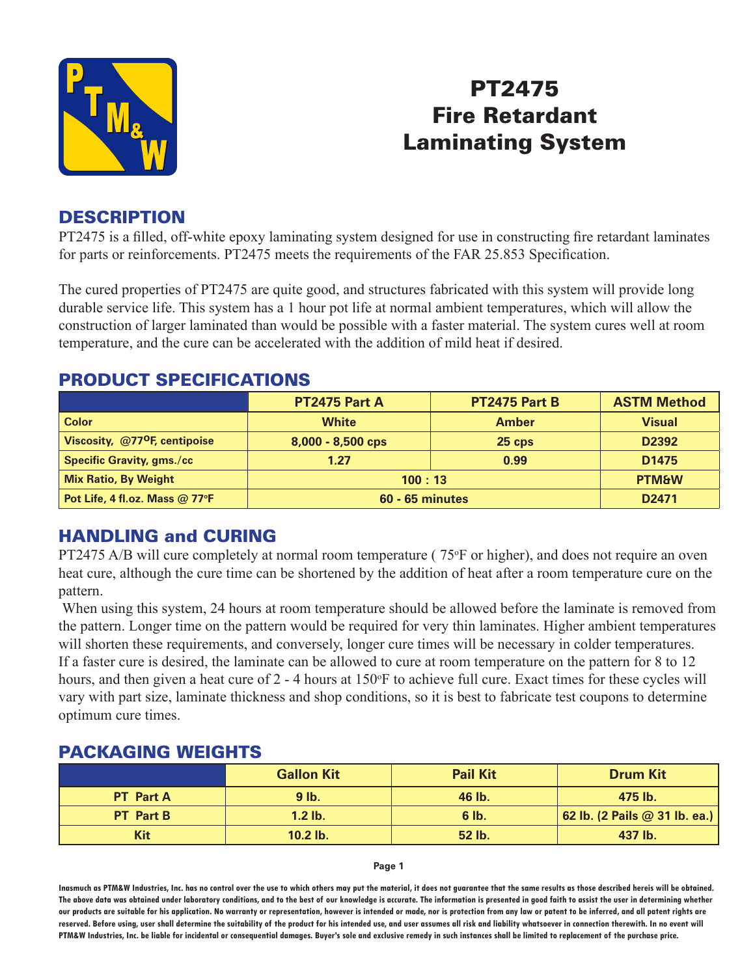

# PT2475 Fire Retardant Laminating System

### **DESCRIPTION**

PT2475 is a filled, off-white epoxy laminating system designed for use in constructing fire retardant laminates for parts or reinforcements. PT2475 meets the requirements of the FAR 25.853 Specification.

The cured properties of PT2475 are quite good, and structures fabricated with this system will provide long durable service life. This system has a 1 hour pot life at normal ambient temperatures, which will allow the construction of larger laminated than would be possible with a faster material. The system cures well at room temperature, and the cure can be accelerated with the addition of mild heat if desired.

### **PT2475 Part A PT2475 Part B ASTM Method Color White Amber Visual Viscosity, @77oF, centipoise 8,000 - 8,500 cps 25 cps D2392 Specific Gravity, gms./cc 1.27 0.99 D1475 Mix Ratio, By Weight 100 : 13 PTM&W Pot Life, 4 fl.oz. Mass @ 77oF 60 - 65 minutes D2471**

## PRODUCT SPECIFICATIONS

# HANDLING and CURING

PT2475 A/B will cure completely at normal room temperature (75°F or higher), and does not require an oven heat cure, although the cure time can be shortened by the addition of heat after a room temperature cure on the pattern.

 When using this system, 24 hours at room temperature should be allowed before the laminate is removed from the pattern. Longer time on the pattern would be required for very thin laminates. Higher ambient temperatures will shorten these requirements, and conversely, longer cure times will be necessary in colder temperatures. If a faster cure is desired, the laminate can be allowed to cure at room temperature on the pattern for 8 to 12 hours, and then given a heat cure of 2 - 4 hours at 150°F to achieve full cure. Exact times for these cycles will vary with part size, laminate thickness and shop conditions, so it is best to fabricate test coupons to determine optimum cure times.

### PACKAGING WEIGHTS

|                  | <b>Gallon Kit</b> | <b>Pail Kit</b> | <b>Drum Kit</b>               |
|------------------|-------------------|-----------------|-------------------------------|
| <b>PT</b> Part A | $9$ lb.           | 46 lb.          | 475 lb.                       |
| <b>PT</b> Part B | $1.2$ lb.         | $6$ lb.         | 62 lb. (2 Pails @ 31 lb. ea.) |
| Kit              | $10.2$ lb.        | 52 lb.          | 437 lb.                       |

**Page 1**

**Inasmuch as PTM&W Industries, Inc. has no control over the use to which others may put the material, it does not guarantee that the same results as those described hereis will be obtained. The above data was obtained under laboratory conditions, and to the best of our knowledge is accurate. The information is presented in good faith to assist the user in determining whether our products are suitable for his application. No warranty or representation, however is intended or made, nor is protection from any law or patent to be inferred, and all patent rights are**  reserved. Before using, user shall determine the suitability of the product for his intended use, and user assumes all risk and liability whatsoever in connection therewith. In no event will **PTM&W Industries, Inc. be liable for incidental or consequential damages. Buyer's sole and exclusive remedy in such instances shall be limited to replacement of the purchase price.**